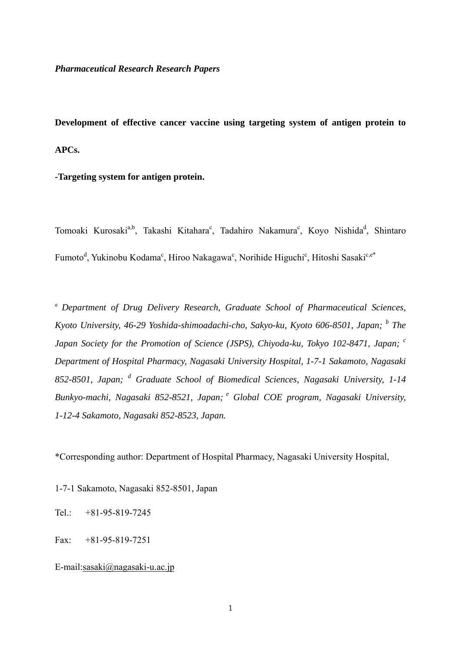**Development of effective cancer vaccine using targeting system of antigen protein to APCs.** 

**-Targeting system for antigen protein.** 

Tomoaki Kurosaki<sup>a,b</sup>, Takashi Kitahara<sup>c</sup>, Tadahiro Nakamura<sup>c</sup>, Koyo Nishida<sup>d</sup>, Shintaro Fumoto<sup>d</sup>, Yukinobu Kodama<sup>c</sup>, Hiroo Nakagawa<sup>c</sup>, Norihide Higuchi<sup>c</sup>, Hitoshi Sasaki<sup>c,e\*</sup>

*<sup>a</sup> Department of Drug Delivery Research, Graduate School of Pharmaceutical Sciences, Kyoto University, 46-29 Yoshida-shimoadachi-cho, Sakyo-ku, Kyoto 606-8501, Japan; <sup>b</sup> The Japan Society for the Promotion of Science (JSPS), Chiyoda-ku, Tokyo 102-8471, Japan; <sup>c</sup> Department of Hospital Pharmacy, Nagasaki University Hospital, 1-7-1 Sakamoto, Nagasaki 852-8501, Japan; <sup>d</sup> Graduate School of Biomedical Sciences, Nagasaki University, 1-14 Bunkyo-machi, Nagasaki 852-8521, Japan; e Global COE program, Nagasaki University, 1-12-4 Sakamoto, Nagasaki 852-8523, Japan.* 

\*Corresponding author: Department of Hospital Pharmacy, Nagasaki University Hospital,

1-7-1 Sakamoto, Nagasaki 852-8501, Japan

Tel.: +81-95-819-7245

Fax: +81-95-819-7251

E-mail:sasaki@nagasaki-u.ac.jp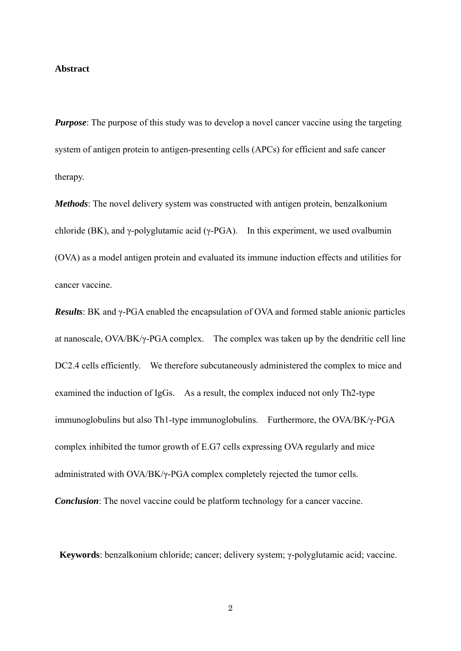#### **Abstract**

*Purpose*: The purpose of this study was to develop a novel cancer vaccine using the targeting system of antigen protein to antigen-presenting cells (APCs) for efficient and safe cancer therapy.

*Methods*: The novel delivery system was constructed with antigen protein, benzalkonium chloride (BK), and  $\gamma$ -polyglutamic acid ( $\gamma$ -PGA). In this experiment, we used ovalbumin (OVA) as a model antigen protein and evaluated its immune induction effects and utilities for cancer vaccine.

*Results*: BK and γ-PGA enabled the encapsulation of OVA and formed stable anionic particles at nanoscale, OVA/BK/γ-PGA complex. The complex was taken up by the dendritic cell line DC2.4 cells efficiently. We therefore subcutaneously administered the complex to mice and examined the induction of IgGs. As a result, the complex induced not only Th2-type immunoglobulins but also Th1-type immunoglobulins. Furthermore, the OVA/BK/γ-PGA complex inhibited the tumor growth of E.G7 cells expressing OVA regularly and mice administrated with OVA/BK/γ-PGA complex completely rejected the tumor cells. *Conclusion*: The novel vaccine could be platform technology for a cancer vaccine.

**Keywords**: benzalkonium chloride; cancer; delivery system; γ-polyglutamic acid; vaccine.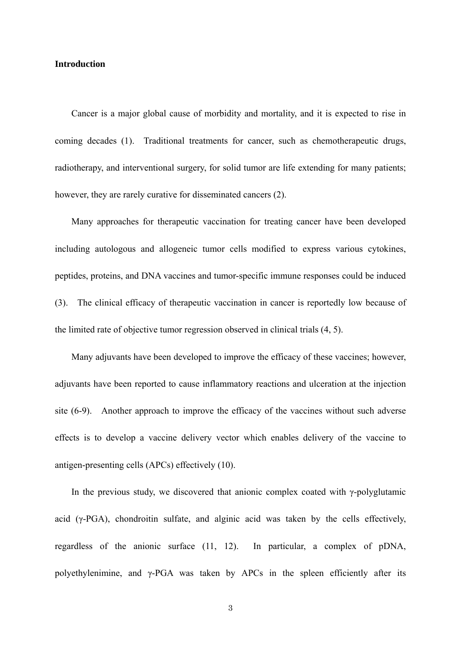### **Introduction**

 Cancer is a major global cause of morbidity and mortality, and it is expected to rise in coming decades (1). Traditional treatments for cancer, such as chemotherapeutic drugs, radiotherapy, and interventional surgery, for solid tumor are life extending for many patients; however, they are rarely curative for disseminated cancers (2).

 Many approaches for therapeutic vaccination for treating cancer have been developed including autologous and allogeneic tumor cells modified to express various cytokines, peptides, proteins, and DNA vaccines and tumor-specific immune responses could be induced (3). The clinical efficacy of therapeutic vaccination in cancer is reportedly low because of the limited rate of objective tumor regression observed in clinical trials (4, 5).

 Many adjuvants have been developed to improve the efficacy of these vaccines; however, adjuvants have been reported to cause inflammatory reactions and ulceration at the injection site (6-9). Another approach to improve the efficacy of the vaccines without such adverse effects is to develop a vaccine delivery vector which enables delivery of the vaccine to antigen-presenting cells (APCs) effectively (10).

In the previous study, we discovered that anionic complex coated with  $\gamma$ -polyglutamic acid  $(\gamma$ -PGA), chondroitin sulfate, and alginic acid was taken by the cells effectively, regardless of the anionic surface (11, 12). In particular, a complex of pDNA, polyethylenimine, and γ-PGA was taken by APCs in the spleen efficiently after its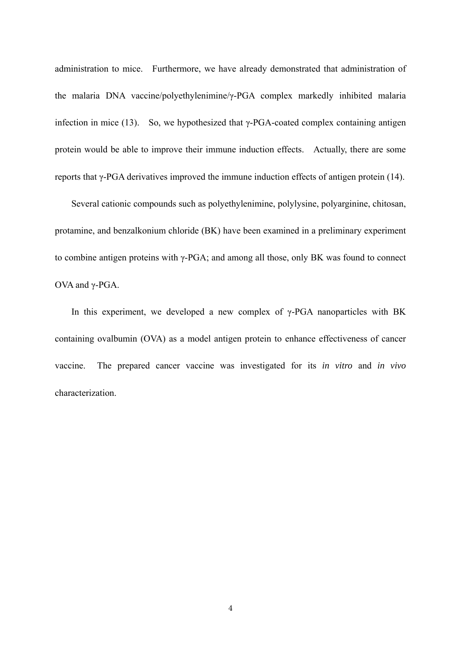administration to mice. Furthermore, we have already demonstrated that administration of the malaria DNA vaccine/polyethylenimine/γ-PGA complex markedly inhibited malaria infection in mice (13). So, we hypothesized that  $\gamma$ -PGA-coated complex containing antigen protein would be able to improve their immune induction effects. Actually, there are some reports that γ-PGA derivatives improved the immune induction effects of antigen protein (14).

 Several cationic compounds such as polyethylenimine, polylysine, polyarginine, chitosan, protamine, and benzalkonium chloride (BK) have been examined in a preliminary experiment to combine antigen proteins with γ-PGA; and among all those, only BK was found to connect OVA and γ-PGA.

In this experiment, we developed a new complex of  $\gamma$ -PGA nanoparticles with BK containing ovalbumin (OVA) as a model antigen protein to enhance effectiveness of cancer vaccine. The prepared cancer vaccine was investigated for its *in vitro* and *in vivo* characterization.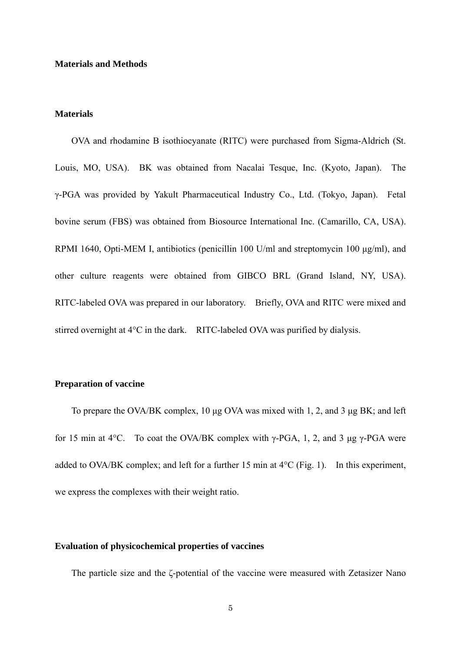#### **Materials and Methods**

#### **Materials**

 OVA and rhodamine B isothiocyanate (RITC) were purchased from Sigma-Aldrich (St. Louis, MO, USA). BK was obtained from Nacalai Tesque, Inc. (Kyoto, Japan). The γ-PGA was provided by Yakult Pharmaceutical Industry Co., Ltd. (Tokyo, Japan). Fetal bovine serum (FBS) was obtained from Biosource International Inc. (Camarillo, CA, USA). RPMI 1640, Opti-MEM I, antibiotics (penicillin 100 U/ml and streptomycin 100 μg/ml), and other culture reagents were obtained from GIBCO BRL (Grand Island, NY, USA). RITC-labeled OVA was prepared in our laboratory. Briefly, OVA and RITC were mixed and stirred overnight at  $4^{\circ}$ C in the dark. RITC-labeled OVA was purified by dialysis.

#### **Preparation of vaccine**

 To prepare the OVA/BK complex, 10 μg OVA was mixed with 1, 2, and 3 μg BK; and left for 15 min at 4 $\degree$ C. To coat the OVA/BK complex with γ-PGA, 1, 2, and 3 μg γ-PGA were added to OVA/BK complex; and left for a further 15 min at  $4^{\circ}$ C (Fig. 1). In this experiment, we express the complexes with their weight ratio.

## **Evaluation of physicochemical properties of vaccines**

The particle size and the ζ-potential of the vaccine were measured with Zetasizer Nano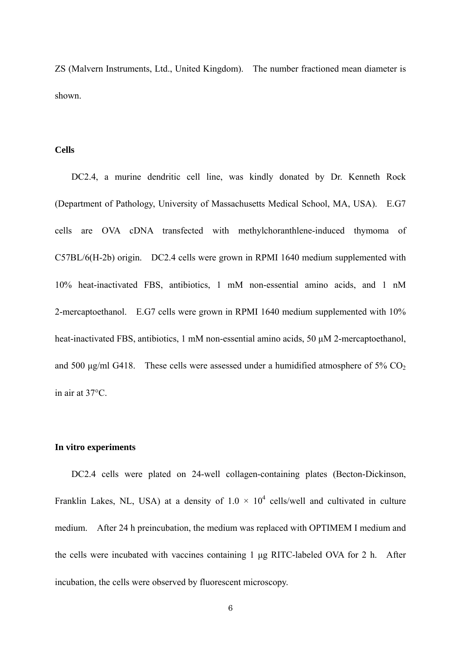ZS (Malvern Instruments, Ltd., United Kingdom). The number fractioned mean diameter is shown.

## **Cells**

 DC2.4, a murine dendritic cell line, was kindly donated by Dr. Kenneth Rock (Department of Pathology, University of Massachusetts Medical School, MA, USA). E.G7 cells are OVA cDNA transfected with methylchoranthlene-induced thymoma of C57BL/6(H-2b) origin. DC2.4 cells were grown in RPMI 1640 medium supplemented with 10% heat-inactivated FBS, antibiotics, 1 mM non-essential amino acids, and 1 nM 2-mercaptoethanol. E.G7 cells were grown in RPMI 1640 medium supplemented with 10% heat-inactivated FBS, antibiotics, 1 mM non-essential amino acids, 50 μM 2-mercaptoethanol, and 500 μg/ml G418. These cells were assessed under a humidified atmosphere of 5%  $CO<sub>2</sub>$ in air at 37°C.

## **In vitro experiments**

DC2.4 cells were plated on 24-well collagen-containing plates (Becton-Dickinson, Franklin Lakes, NL, USA) at a density of  $1.0 \times 10^4$  cells/well and cultivated in culture medium. After 24 h preincubation, the medium was replaced with OPTIMEM I medium and the cells were incubated with vaccines containing 1 μg RITC-labeled OVA for 2 h. After incubation, the cells were observed by fluorescent microscopy.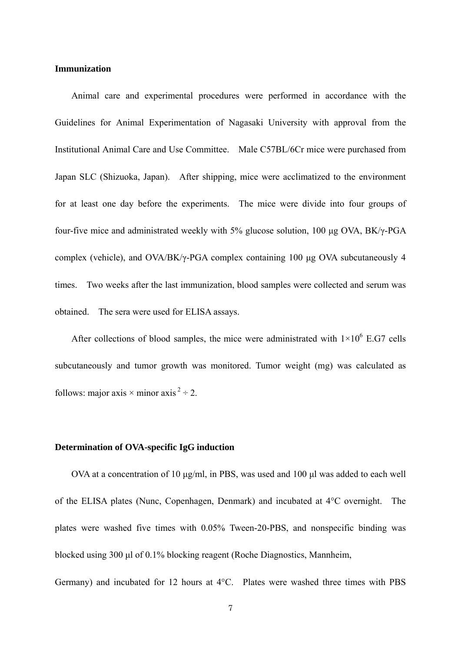## **Immunization**

 Animal care and experimental procedures were performed in accordance with the Guidelines for Animal Experimentation of Nagasaki University with approval from the Institutional Animal Care and Use Committee. Male C57BL/6Cr mice were purchased from Japan SLC (Shizuoka, Japan). After shipping, mice were acclimatized to the environment for at least one day before the experiments. The mice were divide into four groups of four-five mice and administrated weekly with 5% glucose solution, 100 μg OVA, BK/γ-PGA complex (vehicle), and OVA/BK/γ-PGA complex containing 100 μg OVA subcutaneously 4 times. Two weeks after the last immunization, blood samples were collected and serum was obtained. The sera were used for ELISA assays.

After collections of blood samples, the mice were administrated with  $1\times10^6$  E.G7 cells subcutaneously and tumor growth was monitored. Tumor weight (mg) was calculated as follows: major axis  $\times$  minor axis  $2 - 2$ .

## **Determination of OVA-specific IgG induction**

 OVA at a concentration of 10 μg/ml, in PBS, was used and 100 μl was added to each well of the ELISA plates (Nunc, Copenhagen, Denmark) and incubated at 4°C overnight. The plates were washed five times with 0.05% Tween-20-PBS, and nonspecific binding was blocked using 300 μl of 0.1% blocking reagent (Roche Diagnostics, Mannheim,

Germany) and incubated for 12 hours at 4°C. Plates were washed three times with PBS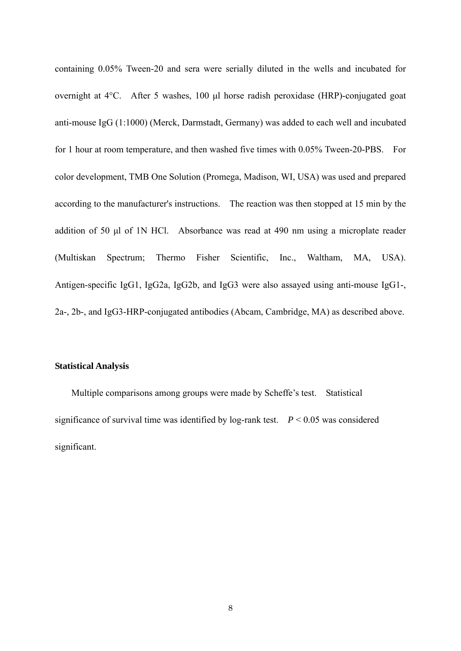containing 0.05% Tween-20 and sera were serially diluted in the wells and incubated for overnight at 4°C. After 5 washes, 100 μl horse radish peroxidase (HRP)-conjugated goat anti-mouse IgG (1:1000) (Merck, Darmstadt, Germany) was added to each well and incubated for 1 hour at room temperature, and then washed five times with 0.05% Tween-20-PBS. For color development, TMB One Solution (Promega, Madison, WI, USA) was used and prepared according to the manufacturer's instructions. The reaction was then stopped at 15 min by the addition of 50 μl of 1N HCl. Absorbance was read at 490 nm using a microplate reader (Multiskan Spectrum; Thermo Fisher Scientific, Inc., Waltham, MA, USA). Antigen-specific IgG1, IgG2a, IgG2b, and IgG3 were also assayed using anti-mouse IgG1-, 2a-, 2b-, and IgG3-HRP-conjugated antibodies (Abcam, Cambridge, MA) as described above.

## **Statistical Analysis**

 Multiple comparisons among groups were made by Scheffe's test. Statistical significance of survival time was identified by  $log$ -rank test.  $P \le 0.05$  was considered significant.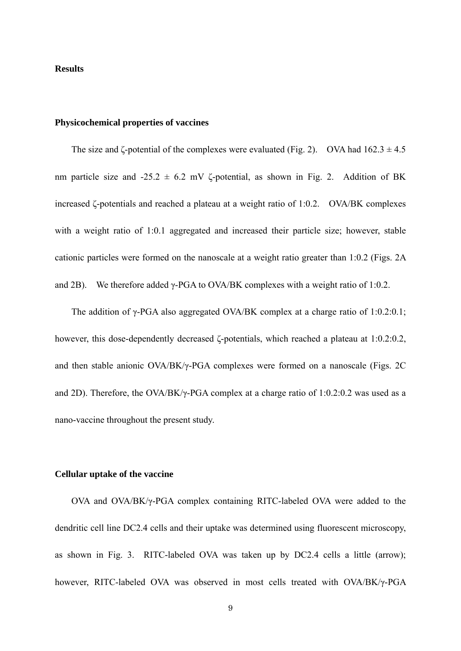#### **Results**

## **Physicochemical properties of vaccines**

The size and  $\zeta$ -potential of the complexes were evaluated (Fig. 2). OVA had  $162.3 \pm 4.5$ nm particle size and  $-25.2 \pm 6.2$  mV  $\zeta$ -potential, as shown in Fig. 2. Addition of BK increased ζ-potentials and reached a plateau at a weight ratio of 1:0.2. OVA/BK complexes with a weight ratio of 1:0.1 aggregated and increased their particle size; however, stable cationic particles were formed on the nanoscale at a weight ratio greater than 1:0.2 (Figs. 2A and 2B). We therefore added  $\gamma$ -PGA to OVA/BK complexes with a weight ratio of 1:0.2.

 The addition of γ-PGA also aggregated OVA/BK complex at a charge ratio of 1:0.2:0.1; however, this dose-dependently decreased ζ-potentials, which reached a plateau at 1:0.2:0.2, and then stable anionic OVA/BK/γ-PGA complexes were formed on a nanoscale (Figs. 2C and 2D). Therefore, the OVA/BK/ $\gamma$ -PGA complex at a charge ratio of 1:0.2:0.2 was used as a nano-vaccine throughout the present study.

## **Cellular uptake of the vaccine**

 OVA and OVA/BK/γ-PGA complex containing RITC-labeled OVA were added to the dendritic cell line DC2.4 cells and their uptake was determined using fluorescent microscopy, as shown in Fig. 3. RITC-labeled OVA was taken up by DC2.4 cells a little (arrow); however, RITC-labeled OVA was observed in most cells treated with OVA/BK/γ-PGA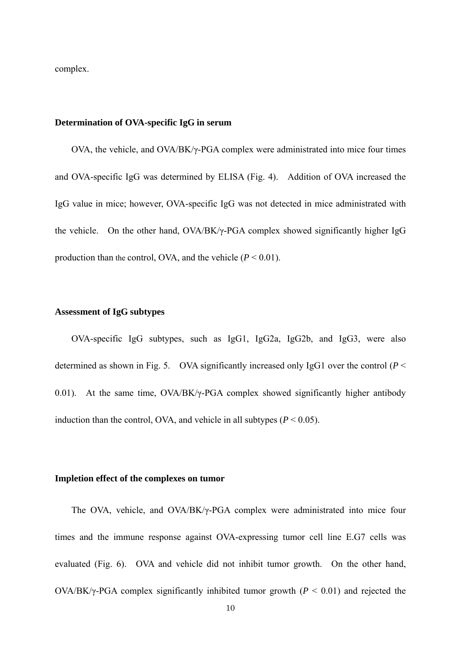complex.

### **Determination of OVA-specific IgG in serum**

 OVA, the vehicle, and OVA/BK/γ-PGA complex were administrated into mice four times and OVA-specific IgG was determined by ELISA (Fig. 4). Addition of OVA increased the IgG value in mice; however, OVA-specific IgG was not detected in mice administrated with the vehicle. On the other hand, OVA/BK/γ-PGA complex showed significantly higher IgG production than the control, OVA, and the vehicle  $(P < 0.01)$ .

#### **Assessment of IgG subtypes**

 OVA-specific IgG subtypes, such as IgG1, IgG2a, IgG2b, and IgG3, were also determined as shown in Fig. 5. OVA significantly increased only IgG1 over the control (*P* < 0.01). At the same time, OVA/BK/γ-PGA complex showed significantly higher antibody induction than the control, OVA, and vehicle in all subtypes  $(P < 0.05)$ .

#### **Impletion effect of the complexes on tumor**

 The OVA, vehicle, and OVA/BK/γ-PGA complex were administrated into mice four times and the immune response against OVA-expressing tumor cell line E.G7 cells was evaluated (Fig. 6). OVA and vehicle did not inhibit tumor growth. On the other hand, OVA/BK/γ-PGA complex significantly inhibited tumor growth (*P* < 0.01) and rejected the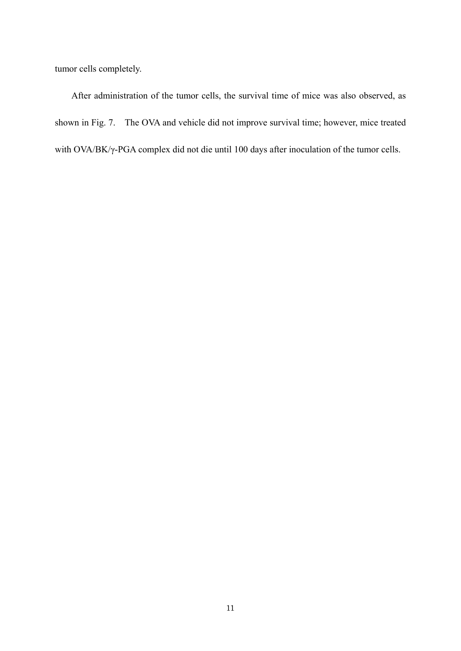tumor cells completely.

 After administration of the tumor cells, the survival time of mice was also observed, as shown in Fig. 7. The OVA and vehicle did not improve survival time; however, mice treated with OVA/BK/γ-PGA complex did not die until 100 days after inoculation of the tumor cells.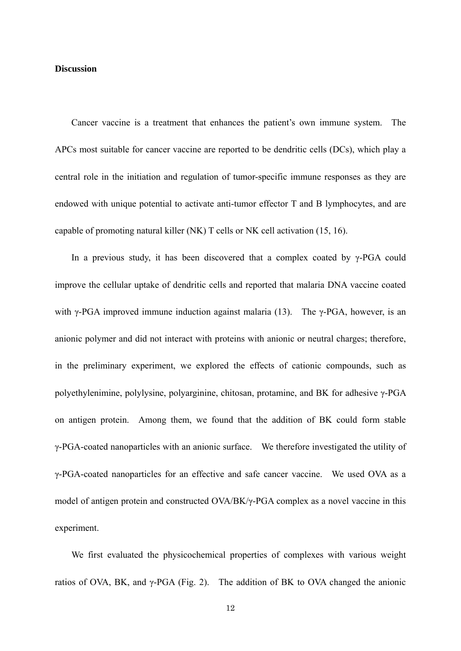## **Discussion**

 Cancer vaccine is a treatment that enhances the patient's own immune system. The APCs most suitable for cancer vaccine are reported to be dendritic cells (DCs), which play a central role in the initiation and regulation of tumor-specific immune responses as they are endowed with unique potential to activate anti-tumor effector T and B lymphocytes, and are capable of promoting natural killer (NK) T cells or NK cell activation (15, 16).

In a previous study, it has been discovered that a complex coated by  $\gamma$ -PGA could improve the cellular uptake of dendritic cells and reported that malaria DNA vaccine coated with  $\gamma$ -PGA improved immune induction against malaria (13). The  $\gamma$ -PGA, however, is an anionic polymer and did not interact with proteins with anionic or neutral charges; therefore, in the preliminary experiment, we explored the effects of cationic compounds, such as polyethylenimine, polylysine, polyarginine, chitosan, protamine, and BK for adhesive γ-PGA on antigen protein. Among them, we found that the addition of BK could form stable γ-PGA-coated nanoparticles with an anionic surface. We therefore investigated the utility of γ-PGA-coated nanoparticles for an effective and safe cancer vaccine. We used OVA as a model of antigen protein and constructed OVA/BK/γ-PGA complex as a novel vaccine in this experiment.

 We first evaluated the physicochemical properties of complexes with various weight ratios of OVA, BK, and  $\gamma$ -PGA (Fig. 2). The addition of BK to OVA changed the anionic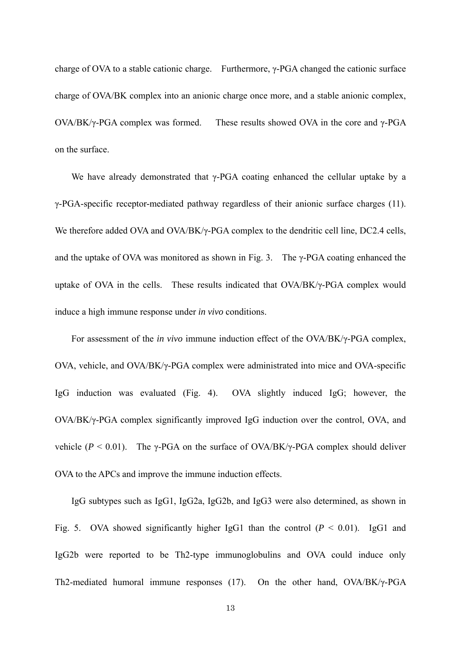charge of OVA to a stable cationic charge. Furthermore, γ-PGA changed the cationic surface charge of OVA/BK complex into an anionic charge once more, and a stable anionic complex, OVA/BK/γ-PGA complex was formed. These results showed OVA in the core and γ-PGA on the surface.

We have already demonstrated that  $\gamma$ -PGA coating enhanced the cellular uptake by a γ-PGA-specific receptor-mediated pathway regardless of their anionic surface charges (11). We therefore added OVA and OVA/BK/γ-PGA complex to the dendritic cell line, DC2.4 cells, and the uptake of OVA was monitored as shown in Fig. 3. The  $\gamma$ -PGA coating enhanced the uptake of OVA in the cells. These results indicated that OVA/BK/γ-PGA complex would induce a high immune response under *in vivo* conditions.

 For assessment of the *in vivo* immune induction effect of the OVA/BK/γ-PGA complex, OVA, vehicle, and OVA/BK/γ-PGA complex were administrated into mice and OVA-specific IgG induction was evaluated (Fig. 4). OVA slightly induced IgG; however, the OVA/BK/γ-PGA complex significantly improved IgG induction over the control, OVA, and vehicle ( $P < 0.01$ ). The γ-PGA on the surface of OVA/BK/γ-PGA complex should deliver OVA to the APCs and improve the immune induction effects.

 IgG subtypes such as IgG1, IgG2a, IgG2b, and IgG3 were also determined, as shown in Fig. 5. OVA showed significantly higher IgG1 than the control  $(P < 0.01)$ . IgG1 and IgG2b were reported to be Th2-type immunoglobulins and OVA could induce only Th2-mediated humoral immune responses (17). On the other hand, OVA/BK/γ-PGA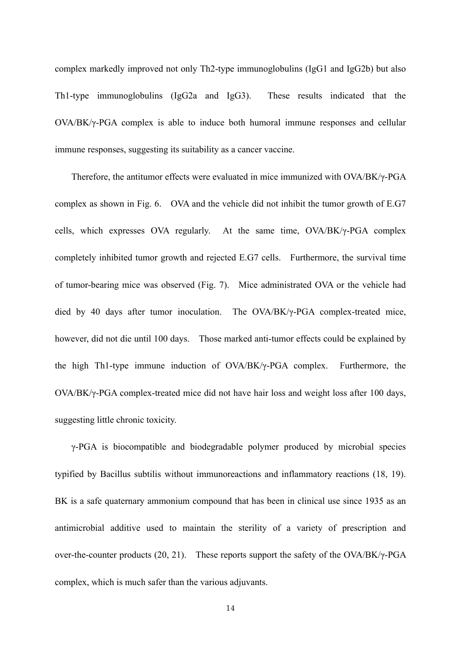complex markedly improved not only Th2-type immunoglobulins (IgG1 and IgG2b) but also Th1-type immunoglobulins (IgG2a and IgG3). These results indicated that the OVA/BK/γ-PGA complex is able to induce both humoral immune responses and cellular immune responses, suggesting its suitability as a cancer vaccine.

 Therefore, the antitumor effects were evaluated in mice immunized with OVA/BK/γ-PGA complex as shown in Fig. 6. OVA and the vehicle did not inhibit the tumor growth of E.G7 cells, which expresses OVA regularly. At the same time, OVA/BK/γ-PGA complex completely inhibited tumor growth and rejected E.G7 cells. Furthermore, the survival time of tumor-bearing mice was observed (Fig. 7). Mice administrated OVA or the vehicle had died by 40 days after tumor inoculation. The OVA/BK/γ-PGA complex-treated mice, however, did not die until 100 days. Those marked anti-tumor effects could be explained by the high Th1-type immune induction of OVA/BK/γ-PGA complex. Furthermore, the OVA/BK/γ-PGA complex-treated mice did not have hair loss and weight loss after 100 days, suggesting little chronic toxicity.

γ-PGA is biocompatible and biodegradable polymer produced by microbial species typified by Bacillus subtilis without immunoreactions and inflammatory reactions (18, 19). BK is a safe quaternary ammonium compound that has been in clinical use since 1935 as an antimicrobial additive used to maintain the sterility of a variety of prescription and over-the-counter products (20, 21). These reports support the safety of the OVA/BK/ $\gamma$ -PGA complex, which is much safer than the various adjuvants.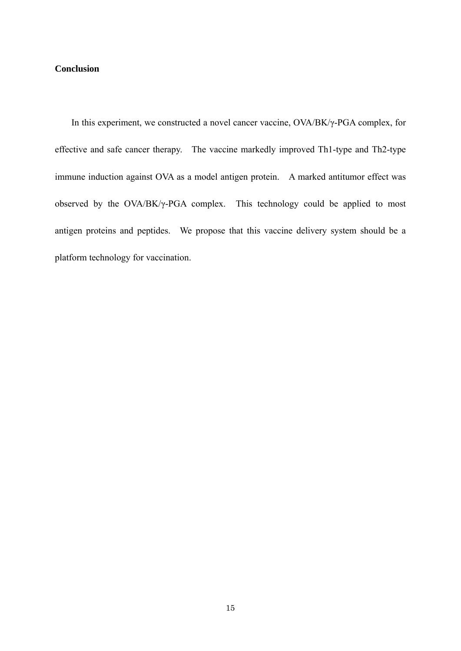# **Conclusion**

 In this experiment, we constructed a novel cancer vaccine, OVA/BK/γ-PGA complex, for effective and safe cancer therapy. The vaccine markedly improved Th1-type and Th2-type immune induction against OVA as a model antigen protein. A marked antitumor effect was observed by the OVA/BK/γ-PGA complex. This technology could be applied to most antigen proteins and peptides. We propose that this vaccine delivery system should be a platform technology for vaccination.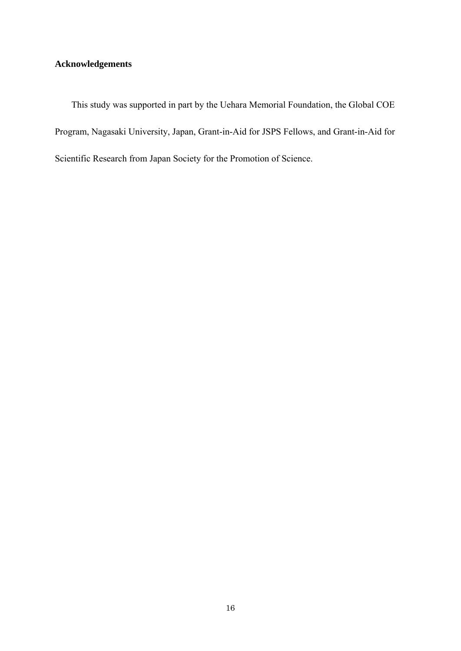# **Acknowledgements**

 This study was supported in part by the Uehara Memorial Foundation, the Global COE Program, Nagasaki University, Japan, Grant-in-Aid for JSPS Fellows, and Grant-in-Aid for Scientific Research from Japan Society for the Promotion of Science.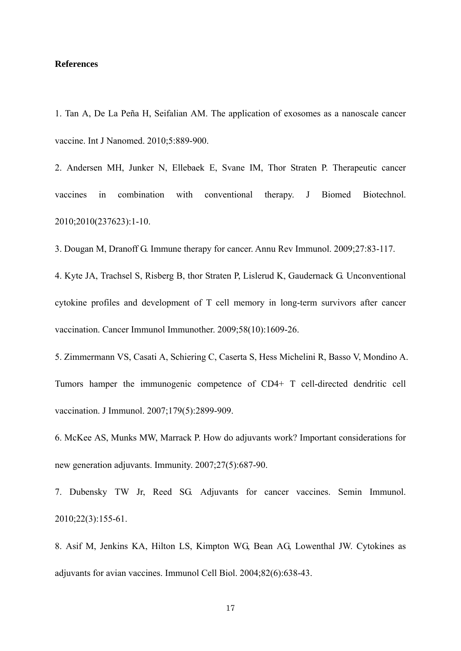## **References**

1. Tan A, De La Peña H, Seifalian AM. The application of exosomes as a nanoscale cancer vaccine. Int J Nanomed. 2010;5:889-900.

2. Andersen MH, Junker N, Ellebaek E, Svane IM, Thor Straten P. Therapeutic cancer vaccines in combination with conventional therapy. J Biomed Biotechnol. 2010;2010(237623):1-10.

3. Dougan M, Dranoff G. Immune therapy for cancer. Annu Rev Immunol. 2009;27:83-117.

4. Kyte JA, Trachsel S, Risberg B, thor Straten P, Lislerud K, Gaudernack G. Unconventional cytokine profiles and development of T cell memory in long-term survivors after cancer vaccination. Cancer Immunol Immunother. 2009;58(10):1609-26.

5. Zimmermann VS, Casati A, Schiering C, Caserta S, Hess Michelini R, Basso V, Mondino A. Tumors hamper the immunogenic competence of CD4+ T cell-directed dendritic cell vaccination. J Immunol. 2007;179(5):2899-909.

6. McKee AS, Munks MW, Marrack P. How do adjuvants work? Important considerations for new generation adjuvants. Immunity. 2007;27(5):687-90.

7. Dubensky TW Jr, Reed SG. Adjuvants for cancer vaccines. Semin Immunol. 2010;22(3):155-61.

8. Asif M, Jenkins KA, Hilton LS, Kimpton WG, Bean AG, Lowenthal JW. Cytokines as adjuvants for avian vaccines. Immunol Cell Biol. 2004;82(6):638-43.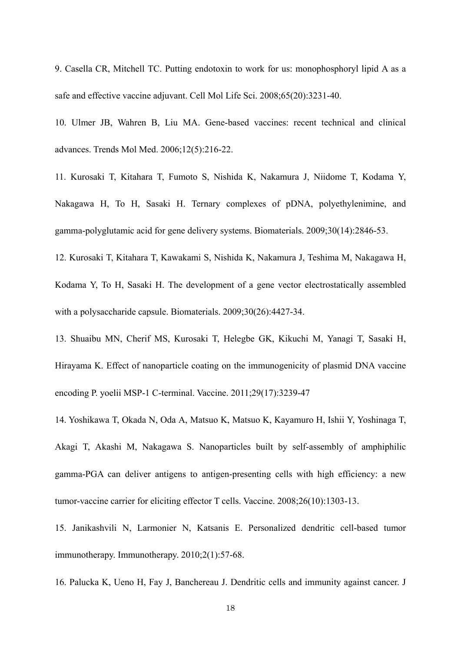9. Casella CR, Mitchell TC. Putting endotoxin to work for us: monophosphoryl lipid A as a safe and effective vaccine adjuvant. Cell Mol Life Sci. 2008;65(20):3231-40.

10. Ulmer JB, Wahren B, Liu MA. Gene-based vaccines: recent technical and clinical advances. Trends Mol Med. 2006;12(5):216-22.

11. Kurosaki T, Kitahara T, Fumoto S, Nishida K, Nakamura J, Niidome T, Kodama Y, Nakagawa H, To H, Sasaki H. Ternary complexes of pDNA, polyethylenimine, and gamma-polyglutamic acid for gene delivery systems. Biomaterials. 2009;30(14):2846-53.

12. Kurosaki T, Kitahara T, Kawakami S, Nishida K, Nakamura J, Teshima M, Nakagawa H, Kodama Y, To H, Sasaki H. The development of a gene vector electrostatically assembled with a polysaccharide capsule. Biomaterials. 2009;30(26):4427-34.

13. Shuaibu MN, Cherif MS, Kurosaki T, Helegbe GK, Kikuchi M, Yanagi T, Sasaki H, Hirayama K. Effect of nanoparticle coating on the immunogenicity of plasmid DNA vaccine encoding P. yoelii MSP-1 C-terminal. Vaccine. 2011;29(17):3239-47

14. Yoshikawa T, Okada N, Oda A, Matsuo K, Matsuo K, Kayamuro H, Ishii Y, Yoshinaga T, Akagi T, Akashi M, Nakagawa S. Nanoparticles built by self-assembly of amphiphilic gamma-PGA can deliver antigens to antigen-presenting cells with high efficiency: a new tumor-vaccine carrier for eliciting effector T cells. Vaccine. 2008;26(10):1303-13.

15. Janikashvili N, Larmonier N, Katsanis E. Personalized dendritic cell-based tumor immunotherapy. Immunotherapy. 2010;2(1):57-68.

16. Palucka K, Ueno H, Fay J, Banchereau J. Dendritic cells and immunity against cancer. J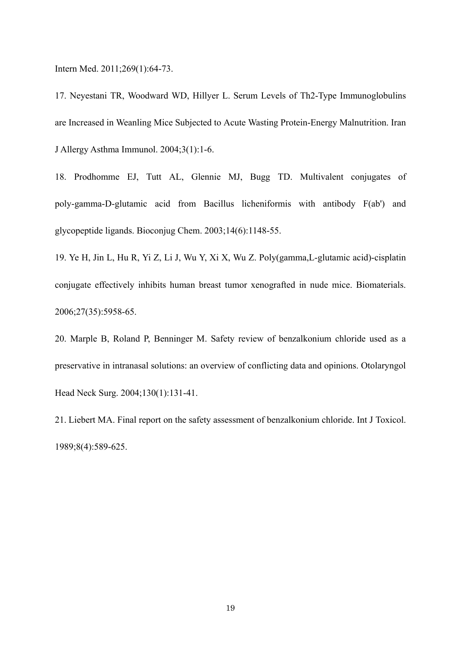Intern Med. 2011;269(1):64-73.

17. Neyestani TR, Woodward WD, Hillyer L. Serum Levels of Th2-Type Immunoglobulins are Increased in Weanling Mice Subjected to Acute Wasting Protein-Energy Malnutrition. Iran J Allergy Asthma Immunol. 2004;3(1):1-6.

18. Prodhomme EJ, Tutt AL, Glennie MJ, Bugg TD. Multivalent conjugates of poly-gamma-D-glutamic acid from Bacillus licheniformis with antibody F(ab') and glycopeptide ligands. Bioconjug Chem. 2003;14(6):1148-55.

19. Ye H, Jin L, Hu R, Yi Z, Li J, Wu Y, Xi X, Wu Z. Poly(gamma,L-glutamic acid)-cisplatin conjugate effectively inhibits human breast tumor xenografted in nude mice. Biomaterials. 2006;27(35):5958-65.

20. Marple B, Roland P, Benninger M. Safety review of benzalkonium chloride used as a preservative in intranasal solutions: an overview of conflicting data and opinions. Otolaryngol Head Neck Surg. 2004;130(1):131-41.

21. Liebert MA. Final report on the safety assessment of benzalkonium chloride. Int J Toxicol. 1989;8(4):589-625.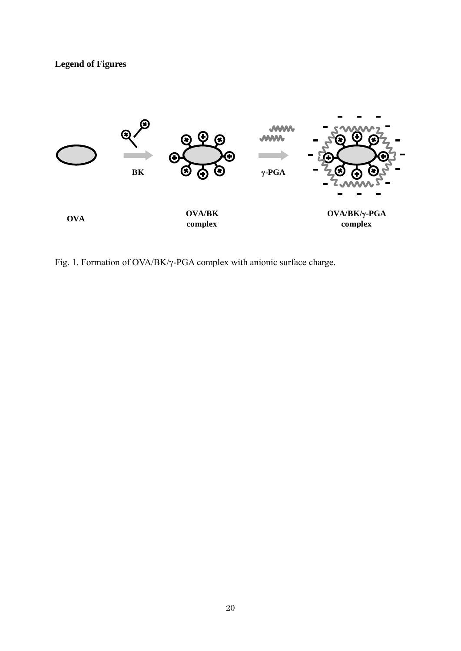# **Legend of Figures**



Fig. 1. Formation of OVA/BK/γ-PGA complex with anionic surface charge.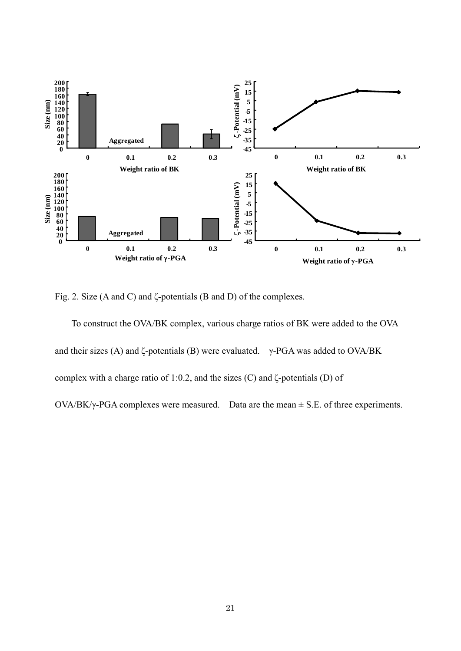

Fig. 2. Size (A and C) and ζ-potentials (B and D) of the complexes.

 To construct the OVA/BK complex, various charge ratios of BK were added to the OVA and their sizes (A) and  $\zeta$ -potentials (B) were evaluated. γ-PGA was added to OVA/BK complex with a charge ratio of 1:0.2, and the sizes (C) and ζ-potentials (D) of OVA/BK/γ-PGA complexes were measured. Data are the mean  $\pm$  S.E. of three experiments.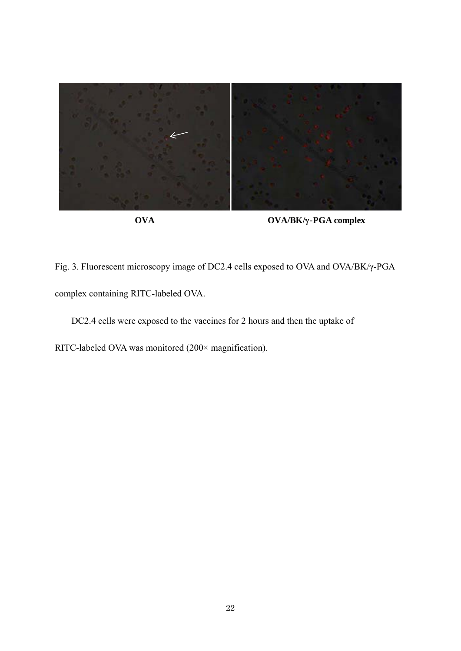

**OVA OVA/BK/-PGA complex**

Fig. 3. Fluorescent microscopy image of DC2.4 cells exposed to OVA and OVA/BK/γ-PGA complex containing RITC-labeled OVA.

DC2.4 cells were exposed to the vaccines for 2 hours and then the uptake of

RITC-labeled OVA was monitored (200× magnification).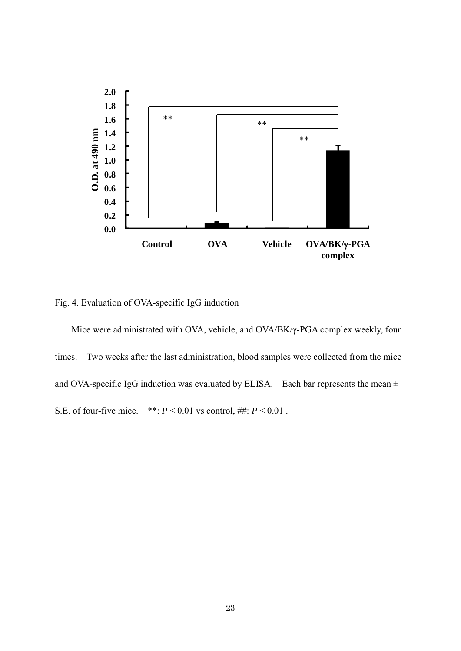

Fig. 4. Evaluation of OVA-specific IgG induction

 Mice were administrated with OVA, vehicle, and OVA/BK/γ-PGA complex weekly, four times. Two weeks after the last administration, blood samples were collected from the mice and OVA-specific IgG induction was evaluated by ELISA. Each bar represents the mean  $\pm$ S.E. of four-five mice. \*\*:  $P < 0.01$  vs control, ##:  $P < 0.01$ .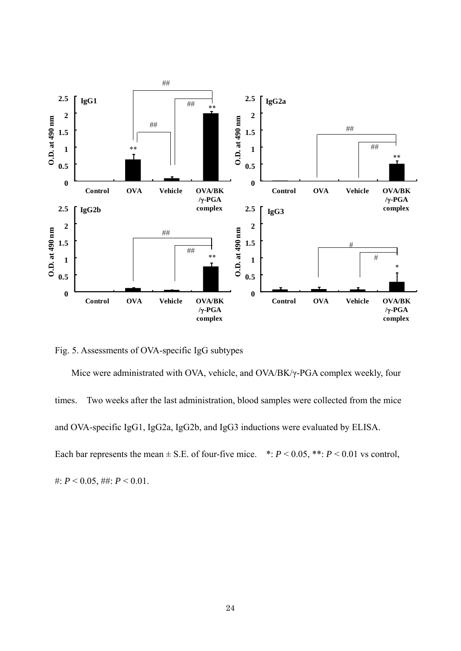

Fig. 5. Assessments of OVA-specific IgG subtypes

 Mice were administrated with OVA, vehicle, and OVA/BK/γ-PGA complex weekly, four times. Two weeks after the last administration, blood samples were collected from the mice and OVA-specific IgG1, IgG2a, IgG2b, and IgG3 inductions were evaluated by ELISA. Each bar represents the mean  $\pm$  S.E. of four-five mice. \*:  $P$  < 0.05, \*\*:  $P$  < 0.01 vs control, #:  $P < 0.05$ , ##:  $P < 0.01$ .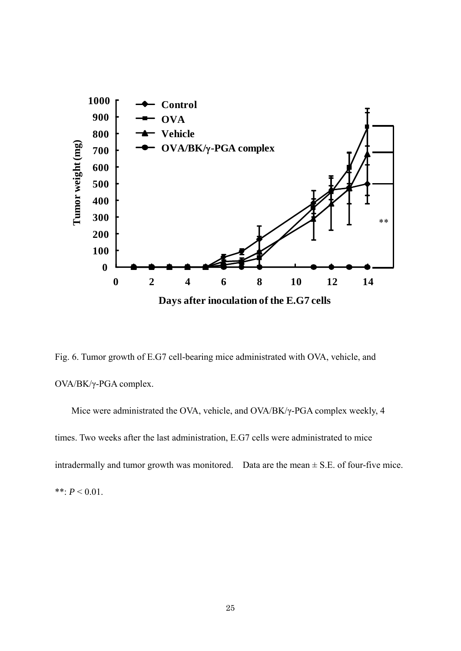

Fig. 6. Tumor growth of E.G7 cell-bearing mice administrated with OVA, vehicle, and OVA/BK/γ-PGA complex.

 Mice were administrated the OVA, vehicle, and OVA/BK/γ-PGA complex weekly, 4 times. Two weeks after the last administration, E.G7 cells were administrated to mice intradermally and tumor growth was monitored. Data are the mean  $\pm$  S.E. of four-five mice. \*\*:  $P < 0.01$ .